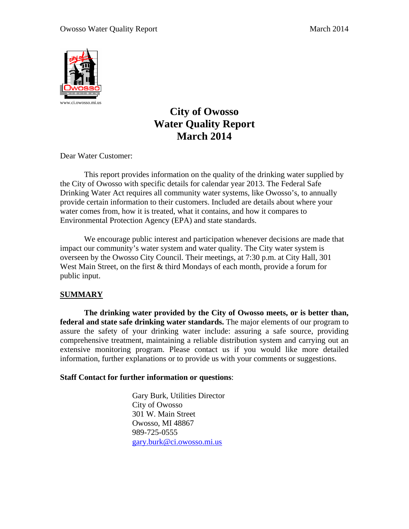

# **City of Owosso Water Quality Report March 2014**

Dear Water Customer:

 This report provides information on the quality of the drinking water supplied by the City of Owosso with specific details for calendar year 2013. The Federal Safe Drinking Water Act requires all community water systems, like Owosso's, to annually provide certain information to their customers. Included are details about where your water comes from, how it is treated, what it contains, and how it compares to Environmental Protection Agency (EPA) and state standards.

 We encourage public interest and participation whenever decisions are made that impact our community's water system and water quality. The City water system is overseen by the Owosso City Council. Their meetings, at 7:30 p.m. at City Hall, 301 West Main Street, on the first & third Mondays of each month, provide a forum for public input.

# **SUMMARY**

**The drinking water provided by the City of Owosso meets, or is better than, federal and state safe drinking water standards.** The major elements of our program to assure the safety of your drinking water include: assuring a safe source, providing comprehensive treatment, maintaining a reliable distribution system and carrying out an extensive monitoring program. Please contact us if you would like more detailed information, further explanations or to provide us with your comments or suggestions.

# **Staff Contact for further information or questions**:

 Gary Burk, Utilities Director City of Owosso 301 W. Main Street Owosso, MI 48867 989-725-0555 gary.burk@ci.owosso.mi.us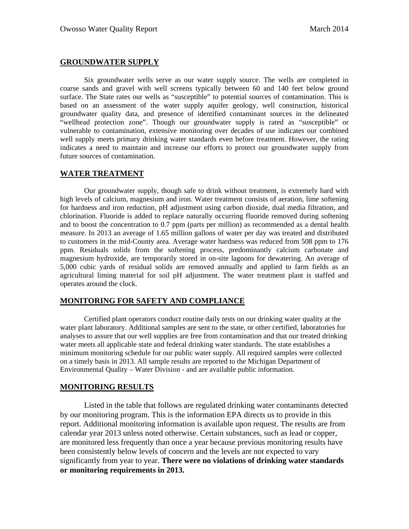## **GROUNDWATER SUPPLY**

Six groundwater wells serve as our water supply source. The wells are completed in coarse sands and gravel with well screens typically between 60 and 140 feet below ground surface. The State rates our wells as "susceptible" to potential sources of contamination. This is based on an assessment of the water supply aquifer geology, well construction, historical groundwater quality data, and presence of identified contaminant sources in the delineated "wellhead protection zone". Though our groundwater supply is rated as "susceptible" or vulnerable to contamination, extensive monitoring over decades of use indicates our combined well supply meets primary drinking water standards even before treatment. However, the rating indicates a need to maintain and increase our efforts to protect our groundwater supply from future sources of contamination.

## **WATER TREATMENT**

Our groundwater supply, though safe to drink without treatment, is extremely hard with high levels of calcium, magnesium and iron. Water treatment consists of aeration, lime softening for hardness and iron reduction, pH adjustment using carbon dioxide, dual media filtration, and chlorination. Fluoride is added to replace naturally occurring fluoride removed during softening and to boost the concentration to 0.7 ppm (parts per million) as recommended as a dental health measure. In 2013 an average of 1.65 million gallons of water per day was treated and distributed to customers in the mid-County area. Average water hardness was reduced from 508 ppm to 176 ppm. Residuals solids from the softening process, predominantly calcium carbonate and magnesium hydroxide, are temporarily stored in on-site lagoons for dewatering. An average of 5,000 cubic yards of residual solids are removed annually and applied to farm fields as an agricultural liming material for soil pH adjustment. The water treatment plant is staffed and operates around the clock.

#### **MONITORING FOR SAFETY AND COMPLIANCE**

Certified plant operators conduct routine daily tests on our drinking water quality at the water plant laboratory. Additional samples are sent to the state, or other certified, laboratories for analyses to assure that our well supplies are free from contamination and that our treated drinking water meets all applicable state and federal drinking water standards. The state establishes a minimum monitoring schedule for our public water supply. All required samples were collected on a timely basis in 2013. All sample results are reported to the Michigan Department of Environmental Quality – Water Division - and are available public information.

## **MONITORING RESULTS**

 Listed in the table that follows are regulated drinking water contaminants detected by our monitoring program. This is the information EPA directs us to provide in this report. Additional monitoring information is available upon request. The results are from calendar year 2013 unless noted otherwise. Certain substances, such as lead or copper, are monitored less frequently than once a year because previous monitoring results have been consistently below levels of concern and the levels are not expected to vary significantly from year to year. **There were no violations of drinking water standards or monitoring requirements in 2013.**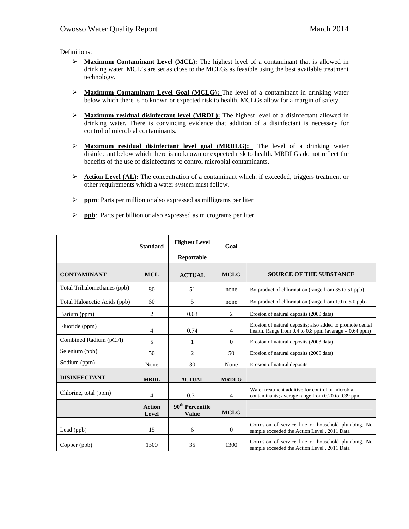Definitions:

- ¾ **Maximum Contaminant Level (MCL):** The highest level of a contaminant that is allowed in drinking water. MCL's are set as close to the MCLGs as feasible using the best available treatment technology.
- ¾ **Maximum Contaminant Level Goal (MCLG):** The level of a contaminant in drinking water below which there is no known or expected risk to health. MCLGs allow for a margin of safety.
- ¾ **Maximum residual disinfectant level (MRDL):** The highest level of a disinfectant allowed in drinking water. There is convincing evidence that addition of a disinfectant is necessary for control of microbial contaminants.
- ¾ **Maximum residual disinfectant level goal (MRDLG):** The level of a drinking water disinfectant below which there is no known or expected risk to health. MRDLGs do not reflect the benefits of the use of disinfectants to control microbial contaminants.
- **EXECUTE:** Action Level (AL): The concentration of a contaminant which, if exceeded, triggers treatment or other requirements which a water system must follow.
- ¾ **ppm**: Parts per million or also expressed as milligrams per liter
- ¾ **ppb**: Parts per billion or also expressed as micrograms per liter

|                              | <b>Standard</b>        | <b>Highest Level</b>                        | Goal         |                                                                                                                           |
|------------------------------|------------------------|---------------------------------------------|--------------|---------------------------------------------------------------------------------------------------------------------------|
|                              |                        | Reportable                                  |              |                                                                                                                           |
| <b>CONTAMINANT</b>           | <b>MCL</b>             | <b>ACTUAL</b>                               | <b>MCLG</b>  | <b>SOURCE OF THE SUBSTANCE</b>                                                                                            |
| Total Trihalomethanes (ppb)  | 80                     | 51                                          | none         | By-product of chlorination (range from 35 to 51 ppb)                                                                      |
| Total Haloacetic Acids (ppb) | 60                     | 5                                           | none         | By-product of chlorination (range from 1.0 to 5.0 ppb)                                                                    |
| Barium (ppm)                 | 2                      | 0.03                                        | 2            | Erosion of natural deposits (2009 data)                                                                                   |
| Fluoride (ppm)               | 4                      | 0.74                                        | 4            | Erosion of natural deposits; also added to promote dental<br>health. Range from $0.4$ to $0.8$ ppm (average = $0.64$ ppm) |
| Combined Radium (pCi/l)      | 5                      |                                             | $\theta$     | Erosion of natural deposits (2003 data)                                                                                   |
| Selenium (ppb)               | 50                     | $\overline{2}$                              | 50           | Erosion of natural deposits (2009 data)                                                                                   |
| Sodium (ppm)                 | None                   | 30                                          | None         | Erosion of natural deposits                                                                                               |
| <b>DISINFECTANT</b>          | <b>MRDL</b>            | <b>ACTUAL</b>                               | <b>MRDLG</b> |                                                                                                                           |
| Chlorine, total (ppm)        | 4                      | 0.31                                        | 4            | Water treatment additive for control of microbial<br>contaminants; average range from 0.20 to 0.39 ppm                    |
|                              | <b>Action</b><br>Level | 90 <sup>th</sup> Percentile<br><b>Value</b> | <b>MCLG</b>  |                                                                                                                           |
| Lead (ppb)                   | 15                     | 6                                           | $\theta$     | Corrosion of service line or household plumbing. No<br>sample exceeded the Action Level . 2011 Data                       |
| Copper (ppb)                 | 1300                   | 35                                          | 1300         | Corrosion of service line or household plumbing. No<br>sample exceeded the Action Level . 2011 Data                       |